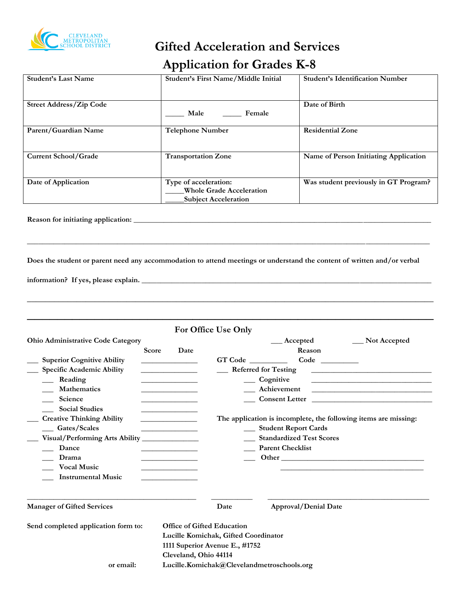

# **Gifted Acceleration and Services Application for Grades K-8**

| Student's Last Name            | Student's First Name/Middle Initial                                                     | <b>Student's Identification Number</b> |
|--------------------------------|-----------------------------------------------------------------------------------------|----------------------------------------|
| <b>Street Address/Zip Code</b> | Male<br>Female                                                                          | Date of Birth                          |
| Parent/Guardian Name           | <b>Telephone Number</b>                                                                 | <b>Residential Zone</b>                |
| Current School/Grade           | <b>Transportation Zone</b>                                                              | Name of Person Initiating Application  |
| Date of Application            | Type of acceleration:<br><b>Whole Grade Acceleration</b><br><b>Subject Acceleration</b> | Was student previously in GT Program?  |

**Reason for initiating application: \_\_\_\_\_\_\_\_\_\_\_\_\_\_\_\_\_\_\_\_\_\_\_\_\_\_\_\_\_\_\_\_\_\_\_\_\_\_\_\_\_\_\_\_\_\_\_\_\_\_\_\_\_\_\_\_\_\_\_\_\_\_\_\_\_\_\_\_\_\_\_\_\_\_\_\_\_\_\_**

**Does the student or parent need any accommodation to attend meetings or understand the content of written and/or verbal** 

**\_\_\_\_\_\_\_\_\_\_\_\_\_\_\_\_\_\_\_\_\_\_\_\_\_\_\_\_\_\_\_\_\_\_\_\_\_\_\_\_\_\_\_\_\_\_\_\_\_\_\_\_\_\_\_\_\_\_\_\_\_\_\_\_\_\_\_\_\_\_\_\_\_\_\_\_\_\_\_\_\_\_\_\_\_\_\_\_\_\_\_\_\_\_\_\_\_\_\_\_\_\_\_\_\_\_\_**

**\_\_\_\_\_\_\_\_\_\_\_\_\_\_\_\_\_\_\_\_\_\_\_\_\_\_\_\_\_\_\_\_\_\_\_\_\_\_\_\_\_\_\_\_\_\_\_\_\_\_\_\_\_\_\_\_\_\_\_\_\_\_\_\_\_\_\_\_\_\_\_\_\_\_\_\_\_\_\_\_\_\_\_\_\_\_\_\_\_\_**

**information? If yes, please explain. \_\_\_\_\_\_\_\_\_\_\_\_\_\_\_\_\_\_\_\_\_\_\_\_\_\_\_\_\_\_\_\_\_\_\_\_\_\_\_\_\_\_\_\_\_\_\_\_\_\_\_\_\_\_\_\_\_\_\_\_\_\_\_\_\_\_\_\_\_\_\_\_\_\_\_\_\_**

|                                          |                                         | For Office Use Only                  |                                                                                                                                                                                                                               |                                                              |
|------------------------------------------|-----------------------------------------|--------------------------------------|-------------------------------------------------------------------------------------------------------------------------------------------------------------------------------------------------------------------------------|--------------------------------------------------------------|
| <b>Ohio Administrative Code Category</b> |                                         |                                      | $\_\$ Accepted                                                                                                                                                                                                                | Not Accepted                                                 |
|                                          | <b>Score</b><br>Date                    |                                      | Reason                                                                                                                                                                                                                        |                                                              |
| <b>Superior Cognitive Ability</b>        | <u> 1989 - Johann Barbara, martxa a</u> |                                      | GT Code                                                                                                                                                                                                                       |                                                              |
| <b>Specific Academic Ability</b>         | the control of the control of the       |                                      | <b>Referred for Testing</b>                                                                                                                                                                                                   |                                                              |
| Reading                                  |                                         |                                      | Cognitive                                                                                                                                                                                                                     |                                                              |
| <b>Mathematics</b>                       |                                         |                                      | Achievement                                                                                                                                                                                                                   | <u> 1989 - Johann Stein, mars an de Britannich (b. 1989)</u> |
| Science                                  |                                         |                                      | Consent Letter                                                                                                                                                                                                                |                                                              |
| <b>Social Studies</b>                    |                                         |                                      |                                                                                                                                                                                                                               |                                                              |
| <b>Creative Thinking Ability</b>         |                                         |                                      | The application is incomplete, the following items are missing:                                                                                                                                                               |                                                              |
| <b>Gates/Scales</b>                      |                                         |                                      | <b>Student Report Cards</b>                                                                                                                                                                                                   |                                                              |
|                                          |                                         |                                      | <b>Standardized Test Scores</b>                                                                                                                                                                                               |                                                              |
| Dance                                    |                                         |                                      | <b>Parent Checklist</b>                                                                                                                                                                                                       |                                                              |
| Drama                                    |                                         |                                      | Other and the contract of the contract of the contract of the contract of the contract of the contract of the contract of the contract of the contract of the contract of the contract of the contract of the contract of the |                                                              |
| <b>Vocal Music</b>                       |                                         |                                      |                                                                                                                                                                                                                               |                                                              |
| <b>Instrumental Music</b>                |                                         |                                      |                                                                                                                                                                                                                               |                                                              |
|                                          |                                         |                                      |                                                                                                                                                                                                                               |                                                              |
| <b>Manager of Gifted Services</b>        |                                         | Date                                 | Approval/Denial Date                                                                                                                                                                                                          |                                                              |
| Send completed application form to:      |                                         | Office of Gifted Education           |                                                                                                                                                                                                                               |                                                              |
|                                          |                                         | Lucille Komichak, Gifted Coordinator |                                                                                                                                                                                                                               |                                                              |
|                                          |                                         | 1111 Superior Avenue E., #1752       |                                                                                                                                                                                                                               |                                                              |
|                                          | Cleveland, Ohio 44114                   |                                      |                                                                                                                                                                                                                               |                                                              |
| or email:                                |                                         |                                      | Lucille.Komichak@Clevelandmetroschools.org                                                                                                                                                                                    |                                                              |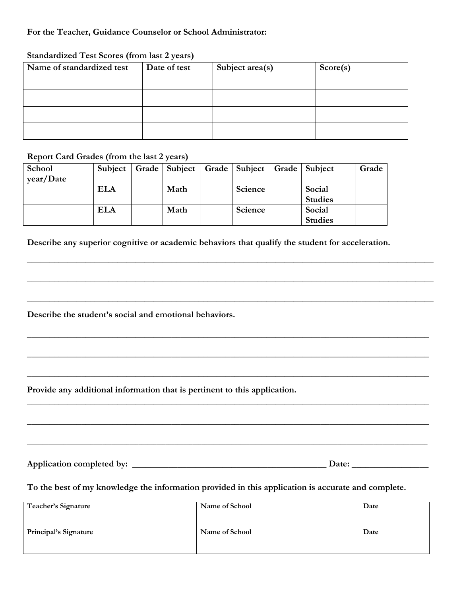## **For the Teacher, Guidance Counselor or School Administrator:**

## **Standardized Test Scores (from last 2 years)**

| Name of standardized test | Date of test | Subject area(s) | Score(s) |
|---------------------------|--------------|-----------------|----------|
|                           |              |                 |          |
|                           |              |                 |          |
|                           |              |                 |          |
|                           |              |                 |          |

#### **Report Card Grades (from the last 2 years)**

| School    | Subject    |      | Grade   Subject   Grade   Subject   Grade   Subject |                | Grade |
|-----------|------------|------|-----------------------------------------------------|----------------|-------|
| year/Date |            |      |                                                     |                |       |
|           | <b>ELA</b> | Math | Science                                             | Social         |       |
|           |            |      |                                                     | <b>Studies</b> |       |
|           | <b>ELA</b> | Math | Science                                             | Social         |       |
|           |            |      |                                                     | <b>Studies</b> |       |

**Describe any superior cognitive or academic behaviors that qualify the student for acceleration.**

**\_\_\_\_\_\_\_\_\_\_\_\_\_\_\_\_\_\_\_\_\_\_\_\_\_\_\_\_\_\_\_\_\_\_\_\_\_\_\_\_\_\_\_\_\_\_\_\_\_\_\_\_\_\_\_\_\_\_\_\_\_\_\_\_\_\_\_\_\_\_\_\_\_\_\_\_\_\_\_\_\_\_\_\_\_\_\_\_\_\_**

**\_\_\_\_\_\_\_\_\_\_\_\_\_\_\_\_\_\_\_\_\_\_\_\_\_\_\_\_\_\_\_\_\_\_\_\_\_\_\_\_\_\_\_\_\_\_\_\_\_\_\_\_\_\_\_\_\_\_\_\_\_\_\_\_\_\_\_\_\_\_\_\_\_\_\_\_\_\_\_\_\_\_\_\_\_\_\_\_\_\_**

**\_\_\_\_\_\_\_\_\_\_\_\_\_\_\_\_\_\_\_\_\_\_\_\_\_\_\_\_\_\_\_\_\_\_\_\_\_\_\_\_\_\_\_\_\_\_\_\_\_\_\_\_\_\_\_\_\_\_\_\_\_\_\_\_\_\_\_\_\_\_\_\_\_\_\_\_\_\_\_\_\_\_\_\_\_\_\_\_\_\_**

**\_\_\_\_\_\_\_\_\_\_\_\_\_\_\_\_\_\_\_\_\_\_\_\_\_\_\_\_\_\_\_\_\_\_\_\_\_\_\_\_\_\_\_\_\_\_\_\_\_\_\_\_\_\_\_\_\_\_\_\_\_\_\_\_\_\_\_\_\_\_\_\_\_\_\_\_\_\_\_\_\_\_\_\_\_\_\_\_\_**

**\_\_\_\_\_\_\_\_\_\_\_\_\_\_\_\_\_\_\_\_\_\_\_\_\_\_\_\_\_\_\_\_\_\_\_\_\_\_\_\_\_\_\_\_\_\_\_\_\_\_\_\_\_\_\_\_\_\_\_\_\_\_\_\_\_\_\_\_\_\_\_\_\_\_\_\_\_\_\_\_\_\_\_\_\_\_\_\_\_**

**\_\_\_\_\_\_\_\_\_\_\_\_\_\_\_\_\_\_\_\_\_\_\_\_\_\_\_\_\_\_\_\_\_\_\_\_\_\_\_\_\_\_\_\_\_\_\_\_\_\_\_\_\_\_\_\_\_\_\_\_\_\_\_\_\_\_\_\_\_\_\_\_\_\_\_\_\_\_\_\_\_\_\_\_\_\_\_\_\_**

**\_\_\_\_\_\_\_\_\_\_\_\_\_\_\_\_\_\_\_\_\_\_\_\_\_\_\_\_\_\_\_\_\_\_\_\_\_\_\_\_\_\_\_\_\_\_\_\_\_\_\_\_\_\_\_\_\_\_\_\_\_\_\_\_\_\_\_\_\_\_\_\_\_\_\_\_\_\_\_\_\_\_\_\_\_\_\_\_\_**

**\_\_\_\_\_\_\_\_\_\_\_\_\_\_\_\_\_\_\_\_\_\_\_\_\_\_\_\_\_\_\_\_\_\_\_\_\_\_\_\_\_\_\_\_\_\_\_\_\_\_\_\_\_\_\_\_\_\_\_\_\_\_\_\_\_\_\_\_\_\_\_\_\_\_\_\_\_\_\_\_\_\_\_\_\_\_\_\_\_**

**\_\_\_\_\_\_\_\_\_\_\_\_\_\_\_\_\_\_\_\_\_\_\_\_\_\_\_\_\_\_\_\_\_\_\_\_\_\_\_\_\_\_\_\_\_\_\_\_\_\_\_\_\_\_\_\_\_\_\_\_\_\_\_\_\_\_\_\_\_\_\_\_\_\_\_\_\_\_\_\_\_\_\_\_\_\_\_\_\_\_\_\_\_\_\_\_\_\_\_\_\_\_\_\_\_\_\_\_\_\_\_\_\_\_\_\_\_\_\_\_\_\_\_\_\_\_\_\_\_\_\_\_\_**

**Describe the student's social and emotional behaviors.**

**Provide any additional information that is pertinent to this application.**

**Application completed by: \_\_\_\_\_\_\_\_\_\_\_\_\_\_\_\_\_\_\_\_\_\_\_\_\_\_\_\_\_\_\_\_\_\_\_\_\_\_\_\_\_\_\_ Date: \_\_\_\_\_\_\_\_\_\_\_\_\_\_\_\_\_**

## **To the best of my knowledge the information provided in this application is accurate and complete.**

| Teacher's Signature   | Name of School | Date |
|-----------------------|----------------|------|
| Principal's Signature | Name of School | Date |